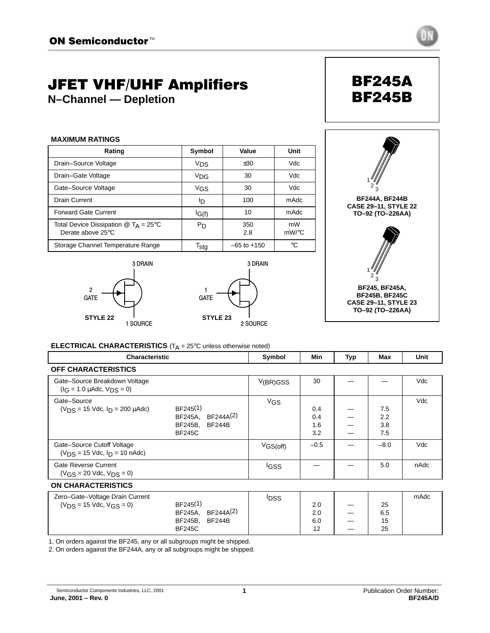# JFET VHF/UHF Amplifiers

**N–Channel — Depletion**

| <b>MAXIMUM RATINGS</b>                                                                             |                       |                 |             |  |  |  |  |
|----------------------------------------------------------------------------------------------------|-----------------------|-----------------|-------------|--|--|--|--|
| Rating                                                                                             | Symbol                | Value           | Unit        |  |  |  |  |
| Drain-Source Voltage                                                                               | V <sub>DS</sub>       | ±30             | Vdc         |  |  |  |  |
| Drain-Gate Voltage                                                                                 | <b>V<sub>DG</sub></b> | 30              | Vdc         |  |  |  |  |
| Gate-Source Voltage                                                                                | V <sub>GS</sub>       | 30              | Vdc         |  |  |  |  |
| Drain Current                                                                                      | סי                    | 100             | mAdc        |  |  |  |  |
| <b>Forward Gate Current</b>                                                                        | IG(f)                 | 10              | mAdc        |  |  |  |  |
| Total Device Dissipation $\textcircled{1}$ T <sub>A</sub> = 25 <sup>°</sup> C<br>Derate above 25°C | Pn                    | 350<br>2.8      | mW<br>mW/°C |  |  |  |  |
| Storage Channel Temperature Range                                                                  | T <sub>sta</sub>      | $-65$ to $+150$ | °C          |  |  |  |  |







BF245A BF245B

**ELECTRICAL CHARACTERISTICS** (T<sub>A</sub> = 25°C unless otherwise noted)

| <b>Characteristic</b>                                                 |                                                                                                       | Symbol                | Min                      | Typ | Max                      | Unit |
|-----------------------------------------------------------------------|-------------------------------------------------------------------------------------------------------|-----------------------|--------------------------|-----|--------------------------|------|
| <b>OFF CHARACTERISTICS</b>                                            |                                                                                                       |                       |                          |     |                          |      |
| Gate-Source Breakdown Voltage<br>$(I_G = 1.0 \mu A d c, V_{DS} = 0)$  |                                                                                                       | V(BR)GSS              | 30                       |     |                          | Vdc  |
| Gate-Source<br>$(V_{DS} = 15$ Vdc, $I_{D} = 200$ $\mu$ Adc)           | BF245 <sup>(1)</sup><br>BF244A(2)<br>BF245A,<br><b>BF244B</b><br>BF245B,<br><b>BF245C</b>             | <b>V<sub>GS</sub></b> | 0.4<br>0.4<br>1.6<br>3.2 |     | 7.5<br>2.2<br>3.8<br>7.5 | Vdc  |
| Gate-Source Cutoff Voltage<br>$(V_{DS} = 15$ Vdc, $I_{D} = 10$ nAdc)  |                                                                                                       | VGS(off)              | $-0.5$                   |     | $-8.0$                   | Vdc  |
| Gate Reverse Current<br>$(V_{CS} = 20$ Vdc, $V_{DS} = 0$ )            |                                                                                                       | <sup>I</sup> GSS      |                          |     | 5.0                      | nAdc |
| <b>ON CHARACTERISTICS</b>                                             |                                                                                                       |                       |                          |     |                          |      |
| Zero-Gate-Voltage Drain Current<br>$(V_{DS} = 15$ Vdc, $V_{GS} = 0$ ) | BF245 <sup>(1)</sup><br>BF244A <sup>(2)</sup><br>BF245A.<br><b>BF244B</b><br>BF245B,<br><b>BF245C</b> | <b>IDSS</b>           | 2.0<br>2.0<br>6.0<br>12  |     | 25<br>6.5<br>15<br>25    | mAdc |

1. On orders against the BF245, any or all subgroups might be shipped.

2. On orders against the BF244A, any or all subgroups might be shipped.

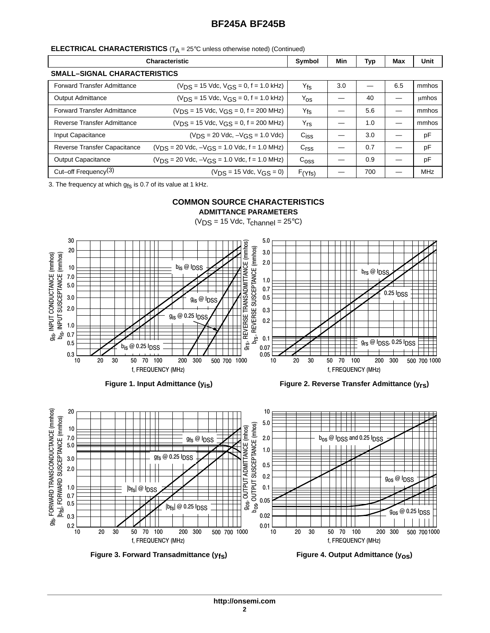#### **ELECTRICAL CHARACTERISTICS** (T<sub>A</sub> = 25°C unless otherwise noted) (Continued)

|                                     | <b>Characteristic</b>                                   | Symbol           | Min | Typ | Max | Unit       |
|-------------------------------------|---------------------------------------------------------|------------------|-----|-----|-----|------------|
| <b>SMALL-SIGNAL CHARACTERISTICS</b> |                                                         |                  |     |     |     |            |
| <b>Forward Transfer Admittance</b>  | $(V_{DS} = 15$ Vdc, $V_{GS} = 0$ , f = 1.0 kHz)         | $ Y_{fs} $       | 3.0 |     | 6.5 | mmhos      |
| <b>Output Admittance</b>            | $(V_{DS} = 15$ Vdc, $V_{GS} = 0$ , f = 1.0 kHz)         | $ Y_{OS} $       |     | 40  |     | umhos      |
| <b>Forward Transfer Admittance</b>  | $(V_{DS} = 15$ Vdc, $V_{GS} = 0$ , f = 200 MHz)         | $ Y_{fs} $       |     | 5.6 |     | mmhos      |
| Reverse Transfer Admittance         | $(V_{DS} = 15$ Vdc, $V_{GS} = 0$ , f = 200 MHz)         | $ Y_{rs} $       |     | 1.0 |     | mmhos      |
| Input Capacitance                   | $(V_{DS} = 20$ Vdc, $-V_{GS} = 1.0$ Vdc)                | $C_{\text{ISS}}$ |     | 3.0 |     | pF         |
| Reverse Transfer Capacitance        | $(V_{DS} = 20$ Vdc, $-V_{GS} = 1.0$ Vdc, f = 1.0 MHz)   | C <sub>rss</sub> |     | 0.7 |     | pF         |
| <b>Output Capacitance</b>           | $(V_{DS} = 20$ Vdc, $-V_{GS} = 1.0$ Vdc, $f = 1.0$ MHz) | C <sub>oss</sub> |     | 0.9 |     | pF         |
| Cut-off Frequency $(3)$             | $(V_{DS} = 15$ Vdc, $V_{GS} = 0$ )                      | F(Yfs)           |     | 700 |     | <b>MHz</b> |

3. The frequency at which  $g_{fs}$  is 0.7 of its value at 1 kHz.

# **COMMON SOURCE CHARACTERISTICS**

**ADMITTANCE PARAMETERS**









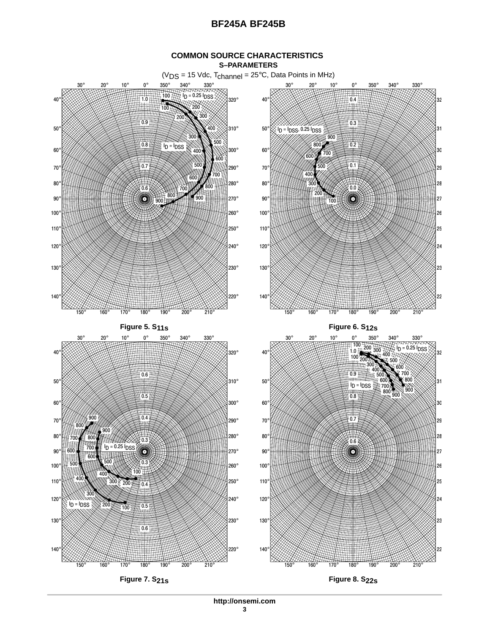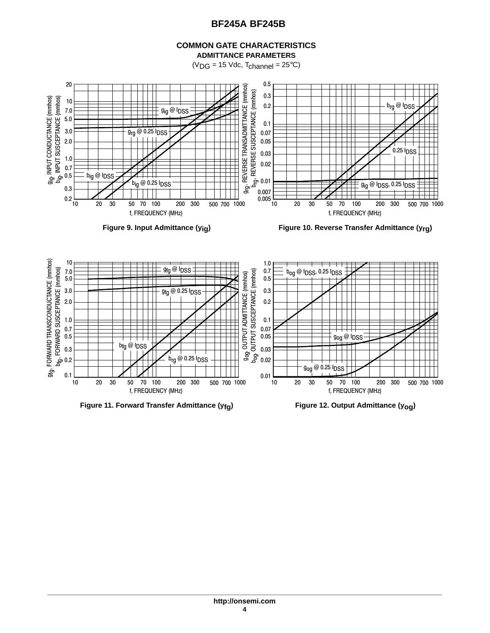#### **COMMON GATE CHARACTERISTICS ADMITTANCE PARAMETERS**

 $(V_{DG} = 15$  Vdc,  $T_{channel} = 25$ °C)



**Figure 9. Input Admittance (yig) Figure 10. Reverse Transfer Admittance (yrg)**

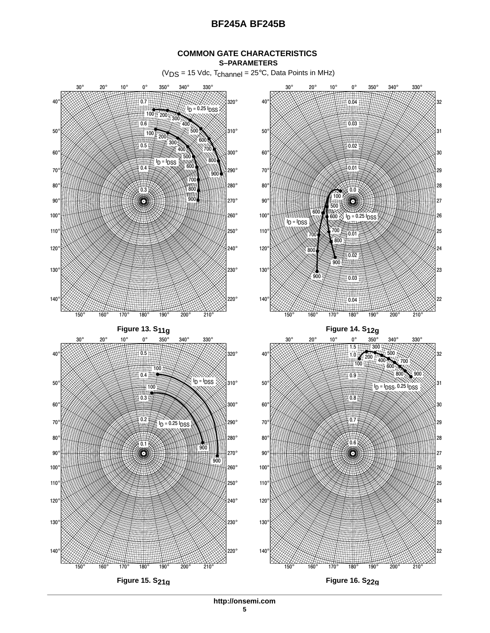#### **COMMON GATE CHARACTERISTICS S–PARAMETERS**

 $(V_{DS} = 15$  Vdc,  $T_{channel} = 25$ °C, Data Points in MHz)



**http://onsemi.com**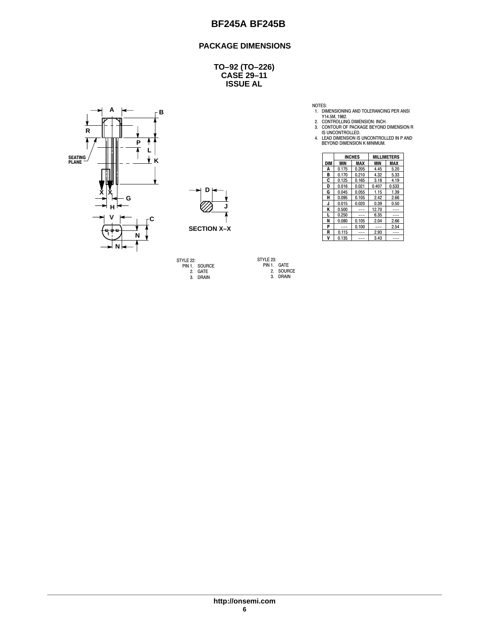## **PACKAGE DIMENSIONS**

**CASE 29–11 ISSUE AL TO–92 (TO–226)**





STYLE 22: PIN 1. SOURCE 2. GATE 3. DRAIN

STYLE 23: PIN 1. GATE 2. SOURCE 3. DRAIN

NOTES:<br>
1. DIMENSIONING AND TOLERANCING PER ANSI<br>
Y14.5M, 1982.<br>
2. CONTROLLING DIMENSION: INCH.<br>
3. CONTOUR OF PACKAGE BEYOND DIMENSION R<br>
15 UNCONTROLLED.<br>
4. LEAD DIMENSION IS UNCONTROLLED IN P AND<br>
BEYOND DIMENSION K M

| Ш               |                    |            | <b>INCHES</b> |               | <b>MILLIMETERS</b> |               |
|-----------------|--------------------|------------|---------------|---------------|--------------------|---------------|
| ĸ               |                    | <b>DIM</b> | <b>MIN</b>    | MAX           | <b>MIN</b>         | <b>MAX</b>    |
| 1               |                    | A          | 0.175         | 0.205         | 4.45               | 5.20          |
|                 |                    | в          | 0.170         | 0.210         | 4.32               | 5.33          |
|                 |                    | C          | 0.125         | 0.165         | 3.18               | 4.19          |
|                 |                    | D          | 0.016         | 0.021         | 0.407              | 0.533         |
| v<br>Λı         | D                  | G          | 0.045         | 0.055         | 1.15               | 1.39          |
| G               |                    | н          | 0.095         | 0.105         | 2.42               | 2.66          |
|                 |                    | u          | 0.015         | 0.020         | 0.39               | 0.50          |
| н               |                    | к          | 0.500         | $\frac{1}{2}$ | 12.70              | $\frac{1}{2}$ |
| v               |                    |            | 0.250         | $- - -$       | 6.35               | $- - -$       |
|                 |                    | N          | 0.080         | 0.105         | 2.04               | 2.66          |
|                 | <b>SECTION X-X</b> | D          | $\frac{1}{2}$ | 0.100         | $\frac{1}{2}$      | 2.54          |
| - 00- 100-<br>N |                    | R          | 0.115         | $\frac{1}{2}$ | 2.93               | $- - -$       |
|                 |                    | v          | 0.135         | $---$         | 3.43               | $- - -$       |

**http://onsemi.com 6**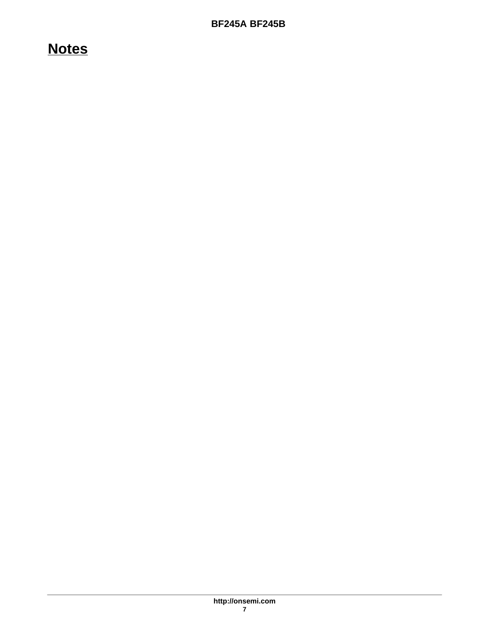# **Notes**